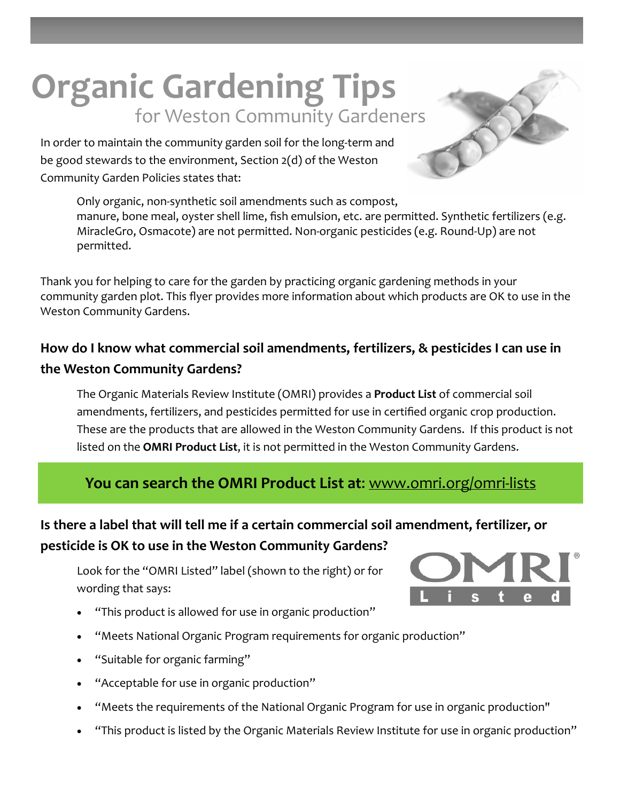# **Organic Gardening Tips** for Weston Community Gardeners

In order to maintain the community garden soil for the long‐term and be good stewards to the environment, Section 2(d) of the Weston Community Garden Policies states that:

> Only organic, non‐synthetic soil amendments such as compost, manure, bone meal, oyster shell lime, fish emulsion, etc. are permitted. Synthetic fertilizers (e.g. MiracleGro, Osmacote) are not permitted. Non‐organic pesticides (e.g. Round‐Up) are not permitted.

Thank you for helping to care for the garden by practicing organic gardening methods in your community garden plot. This flyer provides more information about which products are OK to use in the Weston Community Gardens.

## **How do I know what commercial soil amendments, fertilizers, & pesticides I can use in the Weston Community Gardens?**

The Organic Materials Review Institute (OMRI) provides a **[Product](http://www.omri.org/omri-lists) List** of commercial soil amendments, fertilizers, and pesticides permitted for use in certified organic crop production. These are the products that are allowed in the Weston Community Gardens. If this product is not listed on the **OMRI [Product](http://www.omri.org/omri-lists) List**, it is not permitted in the Weston Community Gardens.

#### **You can search the OMRI [Product](http://www.omri.org/omri-lists) List at**: [www.omri.org/omri](http://www.omri.org/omri-lists)‐lists

## **Is there a label that will tell me if a certain commercial soil amendment, fertilizer, or pesticide is OK to use in the Weston Community Gardens?**

Look for the "OMRI Listed" label (shown to the right) or for wording that says:

- "This product is allowed for use in organic production"
- "Meets National Organic Program requirements for organic production"
- "Suitable for organic farming"
- "Acceptable for use in organic production"
- "Meets the requirements of the National Organic Program for use in organic production"
- "This product is listed by the Organic Materials Review Institute for use in organic production"